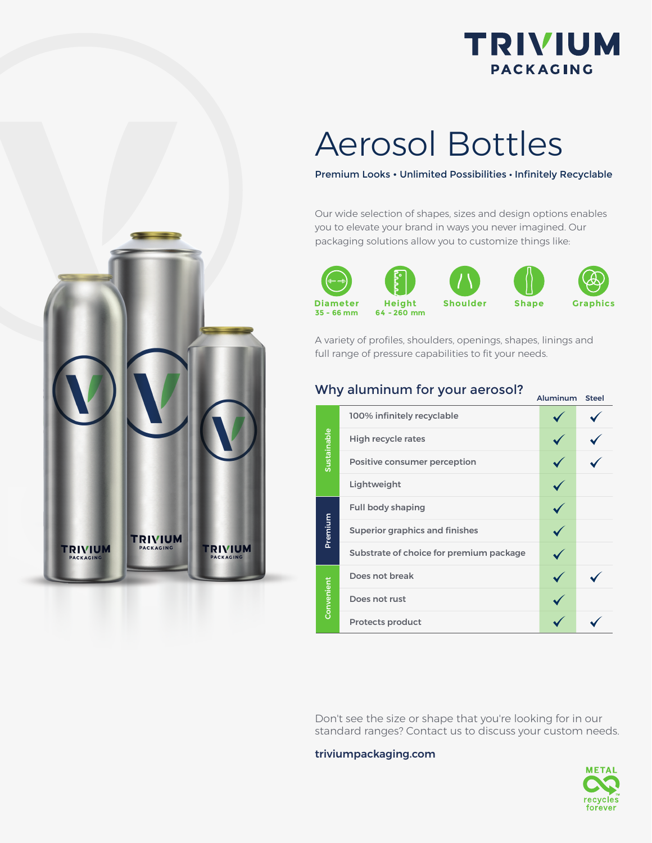

## Aerosol Bottles

#### Premium Looks • Unlimited Possibilities • Infinitely Recyclable

Our wide selection of shapes, sizes and design options enables you to elevate your brand in ways you never imagined. Our packaging solutions allow you to customize things like:







A variety of profiles, shoulders, openings, shapes, linings and full range of pressure capabilities to fit your needs.

### Why aluminum for your aerosol?  $A$ <sub>Aluminum</sub> Steel

| Sustainable | 100% infinitely recyclable              |  |
|-------------|-----------------------------------------|--|
|             | <b>High recycle rates</b>               |  |
|             | Positive consumer perception            |  |
|             | Lightweight                             |  |
| Premium     | <b>Full body shaping</b>                |  |
|             | <b>Superior graphics and finishes</b>   |  |
|             | Substrate of choice for premium package |  |
| Convenient  | Does not break                          |  |
|             | Does not rust                           |  |
|             | <b>Protects product</b>                 |  |

Don't see the size or shape that you're looking for in our standard ranges? Contact us to discuss your custom needs.

triviumpackaging.com